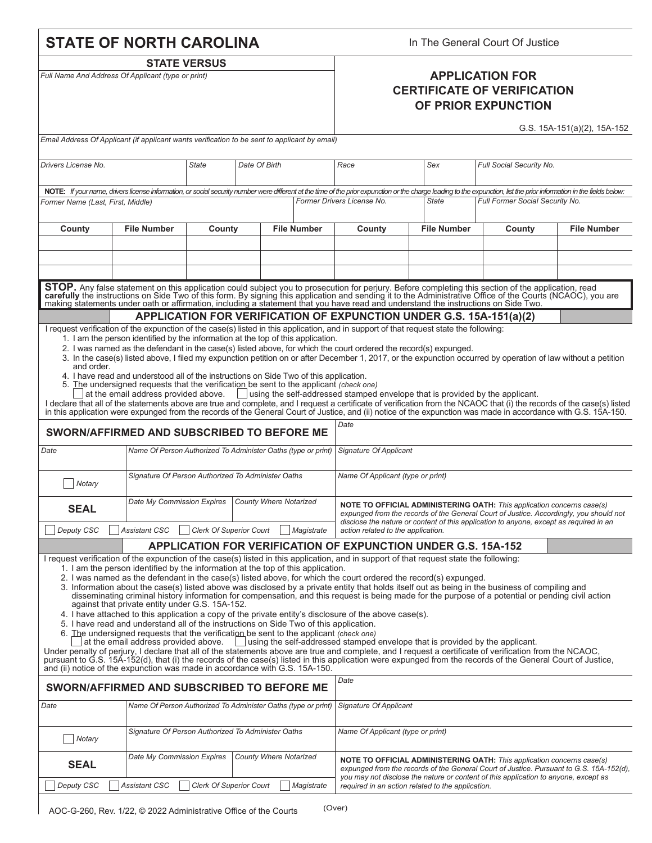|                                                                                                                                                                                                                                                                                                                                                                                                                                                                                                                                                                                                                                                                                                                                                                                                                                                                                                                                                                                                                                  | <b>STATE OF NORTH CAROLINA</b>                                                                                                                                                                                                                                                                                                                                                                                                                 |                                                    |                               | In The General Court Of Justice |                                                                                                                                                                                                                                                                                                                                                                                                                                                       |                    |                                                                                                                                                                                                                                                                                                                                                                                                                                                                                                                                                                                                                                 |                             |  |  |  |  |
|----------------------------------------------------------------------------------------------------------------------------------------------------------------------------------------------------------------------------------------------------------------------------------------------------------------------------------------------------------------------------------------------------------------------------------------------------------------------------------------------------------------------------------------------------------------------------------------------------------------------------------------------------------------------------------------------------------------------------------------------------------------------------------------------------------------------------------------------------------------------------------------------------------------------------------------------------------------------------------------------------------------------------------|------------------------------------------------------------------------------------------------------------------------------------------------------------------------------------------------------------------------------------------------------------------------------------------------------------------------------------------------------------------------------------------------------------------------------------------------|----------------------------------------------------|-------------------------------|---------------------------------|-------------------------------------------------------------------------------------------------------------------------------------------------------------------------------------------------------------------------------------------------------------------------------------------------------------------------------------------------------------------------------------------------------------------------------------------------------|--------------------|---------------------------------------------------------------------------------------------------------------------------------------------------------------------------------------------------------------------------------------------------------------------------------------------------------------------------------------------------------------------------------------------------------------------------------------------------------------------------------------------------------------------------------------------------------------------------------------------------------------------------------|-----------------------------|--|--|--|--|
|                                                                                                                                                                                                                                                                                                                                                                                                                                                                                                                                                                                                                                                                                                                                                                                                                                                                                                                                                                                                                                  |                                                                                                                                                                                                                                                                                                                                                                                                                                                | <b>STATE VERSUS</b>                                |                               |                                 |                                                                                                                                                                                                                                                                                                                                                                                                                                                       |                    |                                                                                                                                                                                                                                                                                                                                                                                                                                                                                                                                                                                                                                 |                             |  |  |  |  |
| Full Name And Address Of Applicant (type or print)                                                                                                                                                                                                                                                                                                                                                                                                                                                                                                                                                                                                                                                                                                                                                                                                                                                                                                                                                                               |                                                                                                                                                                                                                                                                                                                                                                                                                                                |                                                    |                               |                                 | <b>APPLICATION FOR</b><br><b>CERTIFICATE OF VERIFICATION</b><br>OF PRIOR EXPUNCTION                                                                                                                                                                                                                                                                                                                                                                   |                    |                                                                                                                                                                                                                                                                                                                                                                                                                                                                                                                                                                                                                                 |                             |  |  |  |  |
| Email Address Of Applicant (if applicant wants verification to be sent to applicant by email)                                                                                                                                                                                                                                                                                                                                                                                                                                                                                                                                                                                                                                                                                                                                                                                                                                                                                                                                    |                                                                                                                                                                                                                                                                                                                                                                                                                                                |                                                    |                               |                                 |                                                                                                                                                                                                                                                                                                                                                                                                                                                       |                    |                                                                                                                                                                                                                                                                                                                                                                                                                                                                                                                                                                                                                                 | G.S. 15A-151(a)(2), 15A-152 |  |  |  |  |
|                                                                                                                                                                                                                                                                                                                                                                                                                                                                                                                                                                                                                                                                                                                                                                                                                                                                                                                                                                                                                                  |                                                                                                                                                                                                                                                                                                                                                                                                                                                |                                                    |                               |                                 |                                                                                                                                                                                                                                                                                                                                                                                                                                                       |                    |                                                                                                                                                                                                                                                                                                                                                                                                                                                                                                                                                                                                                                 |                             |  |  |  |  |
| Drivers License No.                                                                                                                                                                                                                                                                                                                                                                                                                                                                                                                                                                                                                                                                                                                                                                                                                                                                                                                                                                                                              |                                                                                                                                                                                                                                                                                                                                                                                                                                                | <b>State</b>                                       | Date Of Birth                 |                                 | Race                                                                                                                                                                                                                                                                                                                                                                                                                                                  | Sex                | Full Social Security No.                                                                                                                                                                                                                                                                                                                                                                                                                                                                                                                                                                                                        |                             |  |  |  |  |
|                                                                                                                                                                                                                                                                                                                                                                                                                                                                                                                                                                                                                                                                                                                                                                                                                                                                                                                                                                                                                                  |                                                                                                                                                                                                                                                                                                                                                                                                                                                |                                                    |                               |                                 |                                                                                                                                                                                                                                                                                                                                                                                                                                                       |                    | NOTE: If your name, drivers license information, or social security number were different at the time of the prior expunction or the charge leading to the expunction, list the prior information in the fields below:                                                                                                                                                                                                                                                                                                                                                                                                          |                             |  |  |  |  |
| Former Name (Last, First, Middle)                                                                                                                                                                                                                                                                                                                                                                                                                                                                                                                                                                                                                                                                                                                                                                                                                                                                                                                                                                                                |                                                                                                                                                                                                                                                                                                                                                                                                                                                |                                                    |                               |                                 | Full Former Social Security No.<br>Former Drivers License No.<br><b>State</b>                                                                                                                                                                                                                                                                                                                                                                         |                    |                                                                                                                                                                                                                                                                                                                                                                                                                                                                                                                                                                                                                                 |                             |  |  |  |  |
| County                                                                                                                                                                                                                                                                                                                                                                                                                                                                                                                                                                                                                                                                                                                                                                                                                                                                                                                                                                                                                           | <b>File Number</b>                                                                                                                                                                                                                                                                                                                                                                                                                             | County                                             |                               | <b>File Number</b>              | County                                                                                                                                                                                                                                                                                                                                                                                                                                                | <b>File Number</b> | County                                                                                                                                                                                                                                                                                                                                                                                                                                                                                                                                                                                                                          | <b>File Number</b>          |  |  |  |  |
|                                                                                                                                                                                                                                                                                                                                                                                                                                                                                                                                                                                                                                                                                                                                                                                                                                                                                                                                                                                                                                  |                                                                                                                                                                                                                                                                                                                                                                                                                                                |                                                    |                               |                                 |                                                                                                                                                                                                                                                                                                                                                                                                                                                       |                    |                                                                                                                                                                                                                                                                                                                                                                                                                                                                                                                                                                                                                                 |                             |  |  |  |  |
|                                                                                                                                                                                                                                                                                                                                                                                                                                                                                                                                                                                                                                                                                                                                                                                                                                                                                                                                                                                                                                  |                                                                                                                                                                                                                                                                                                                                                                                                                                                |                                                    |                               |                                 |                                                                                                                                                                                                                                                                                                                                                                                                                                                       |                    |                                                                                                                                                                                                                                                                                                                                                                                                                                                                                                                                                                                                                                 |                             |  |  |  |  |
|                                                                                                                                                                                                                                                                                                                                                                                                                                                                                                                                                                                                                                                                                                                                                                                                                                                                                                                                                                                                                                  |                                                                                                                                                                                                                                                                                                                                                                                                                                                |                                                    |                               |                                 |                                                                                                                                                                                                                                                                                                                                                                                                                                                       |                    |                                                                                                                                                                                                                                                                                                                                                                                                                                                                                                                                                                                                                                 |                             |  |  |  |  |
| STOP. Any false statement on this application could subject you to prosecution for perjury. Before completing this section of the application, read carefully the instructions on Side Two of this form. By signing this appli                                                                                                                                                                                                                                                                                                                                                                                                                                                                                                                                                                                                                                                                                                                                                                                                   |                                                                                                                                                                                                                                                                                                                                                                                                                                                |                                                    |                               |                                 |                                                                                                                                                                                                                                                                                                                                                                                                                                                       |                    |                                                                                                                                                                                                                                                                                                                                                                                                                                                                                                                                                                                                                                 |                             |  |  |  |  |
|                                                                                                                                                                                                                                                                                                                                                                                                                                                                                                                                                                                                                                                                                                                                                                                                                                                                                                                                                                                                                                  |                                                                                                                                                                                                                                                                                                                                                                                                                                                |                                                    |                               |                                 | APPLICATION FOR VERIFICATION OF EXPUNCTION UNDER G.S. 15A-151(a)(2)                                                                                                                                                                                                                                                                                                                                                                                   |                    |                                                                                                                                                                                                                                                                                                                                                                                                                                                                                                                                                                                                                                 |                             |  |  |  |  |
| I request verification of the expunction of the case(s) listed in this application, and in support of that request state the following:<br>1. I am the person identified by the information at the top of this application.<br>2. I was named as the defendant in the case(s) listed above, for which the court ordered the record(s) expunged.<br>3. In the case(s) listed above, I filed my expunction petition on or after December 1, 2017, or the expunction occurred by operation of law without a petition<br>and order.<br>4. I have read and understood all of the instructions on Side Two of this application.<br>5. The undersigned requests that the verification be sent to the applicant (check one)<br>at the email address provided above.<br><br><br>  using the self-addressed stamped envelope that is provided by the applicant.<br>I declare that all of the statements above are true and complete, and I request a certificate of verification from the NCAOC that (i) the records of the case(s) listed |                                                                                                                                                                                                                                                                                                                                                                                                                                                |                                                    |                               |                                 |                                                                                                                                                                                                                                                                                                                                                                                                                                                       |                    |                                                                                                                                                                                                                                                                                                                                                                                                                                                                                                                                                                                                                                 |                             |  |  |  |  |
|                                                                                                                                                                                                                                                                                                                                                                                                                                                                                                                                                                                                                                                                                                                                                                                                                                                                                                                                                                                                                                  |                                                                                                                                                                                                                                                                                                                                                                                                                                                |                                                    |                               |                                 | in this application were expunged from the records of the General Court of Justice, and (ii) notice of the expunction was made in accordance with G.S. 15A-150.<br>Date                                                                                                                                                                                                                                                                               |                    |                                                                                                                                                                                                                                                                                                                                                                                                                                                                                                                                                                                                                                 |                             |  |  |  |  |
|                                                                                                                                                                                                                                                                                                                                                                                                                                                                                                                                                                                                                                                                                                                                                                                                                                                                                                                                                                                                                                  | SWORN/AFFIRMED AND SUBSCRIBED TO BEFORE ME                                                                                                                                                                                                                                                                                                                                                                                                     |                                                    |                               |                                 |                                                                                                                                                                                                                                                                                                                                                                                                                                                       |                    |                                                                                                                                                                                                                                                                                                                                                                                                                                                                                                                                                                                                                                 |                             |  |  |  |  |
| Date                                                                                                                                                                                                                                                                                                                                                                                                                                                                                                                                                                                                                                                                                                                                                                                                                                                                                                                                                                                                                             | Name Of Person Authorized To Administer Oaths (type or print)                                                                                                                                                                                                                                                                                                                                                                                  |                                                    |                               |                                 | <b>Signature Of Applicant</b>                                                                                                                                                                                                                                                                                                                                                                                                                         |                    |                                                                                                                                                                                                                                                                                                                                                                                                                                                                                                                                                                                                                                 |                             |  |  |  |  |
| Notary                                                                                                                                                                                                                                                                                                                                                                                                                                                                                                                                                                                                                                                                                                                                                                                                                                                                                                                                                                                                                           |                                                                                                                                                                                                                                                                                                                                                                                                                                                | Signature Of Person Authorized To Administer Oaths |                               |                                 | Name Of Applicant (type or print)                                                                                                                                                                                                                                                                                                                                                                                                                     |                    |                                                                                                                                                                                                                                                                                                                                                                                                                                                                                                                                                                                                                                 |                             |  |  |  |  |
| <b>SEAL</b>                                                                                                                                                                                                                                                                                                                                                                                                                                                                                                                                                                                                                                                                                                                                                                                                                                                                                                                                                                                                                      | Date My Commission Expires                                                                                                                                                                                                                                                                                                                                                                                                                     |                                                    | <b>County Where Notarized</b> |                                 | <b>NOTE TO OFFICIAL ADMINISTERING OATH:</b> This application concerns case(s)<br>expunged from the records of the General Court of Justice. Accordingly, you should not<br>disclose the nature or content of this application to anyone, except as required in an                                                                                                                                                                                     |                    |                                                                                                                                                                                                                                                                                                                                                                                                                                                                                                                                                                                                                                 |                             |  |  |  |  |
| Deputy CSC                                                                                                                                                                                                                                                                                                                                                                                                                                                                                                                                                                                                                                                                                                                                                                                                                                                                                                                                                                                                                       | <b>Assistant CSC</b>                                                                                                                                                                                                                                                                                                                                                                                                                           | <b>Clerk Of Superior Court</b>                     |                               | Magistrate                      | action related to the application.<br><b>APPLICATION FOR VERIFICATION OF EXPUNCTION UNDER G.S. 15A-152</b>                                                                                                                                                                                                                                                                                                                                            |                    |                                                                                                                                                                                                                                                                                                                                                                                                                                                                                                                                                                                                                                 |                             |  |  |  |  |
|                                                                                                                                                                                                                                                                                                                                                                                                                                                                                                                                                                                                                                                                                                                                                                                                                                                                                                                                                                                                                                  | 1. I am the person identified by the information at the top of this application.<br>against that private entity under G.S. 15A-152.<br>5. I have read and understand all of the instructions on Side Two of this application.<br>6. The undersigned requests that the verification be sent to the applicant (check one)<br>at the email address provided above.<br>and (ii) notice of the expunction was made in accordance with G.S. 15A-150. |                                                    |                               |                                 | I request verification of the expunction of the case(s) listed in this application, and in support of that request state the following:<br>2. I was named as the defendant in the case(s) listed above, for which the court ordered the record(s) expunged.<br>4. I have attached to this application a copy of the private entity's disclosure of the above case(s).<br>using the self-addressed stamped envelope that is provided by the applicant. |                    | 3. Information about the case(s) listed above was disclosed by a private entity that holds itself out as being in the business of compiling and<br>disseminating criminal history information for compensation, and this request is being made for the purpose of a potential or pending civil action<br>Under penalty of perjury, I declare that all of the statements above are true and complete, and I request a certificate of verification from the NCAOC,<br>pursuant to G.S. 15A-152(d), that (i) the records of the case(s) listed in this application were expunged from the records of the General Court of Justice, |                             |  |  |  |  |
|                                                                                                                                                                                                                                                                                                                                                                                                                                                                                                                                                                                                                                                                                                                                                                                                                                                                                                                                                                                                                                  | SWORN/AFFIRMED AND SUBSCRIBED TO BEFORE ME                                                                                                                                                                                                                                                                                                                                                                                                     |                                                    |                               |                                 | Date                                                                                                                                                                                                                                                                                                                                                                                                                                                  |                    |                                                                                                                                                                                                                                                                                                                                                                                                                                                                                                                                                                                                                                 |                             |  |  |  |  |
| Date                                                                                                                                                                                                                                                                                                                                                                                                                                                                                                                                                                                                                                                                                                                                                                                                                                                                                                                                                                                                                             | Name Of Person Authorized To Administer Oaths (type or print)                                                                                                                                                                                                                                                                                                                                                                                  |                                                    |                               | Signature Of Applicant          |                                                                                                                                                                                                                                                                                                                                                                                                                                                       |                    |                                                                                                                                                                                                                                                                                                                                                                                                                                                                                                                                                                                                                                 |                             |  |  |  |  |
| Notary                                                                                                                                                                                                                                                                                                                                                                                                                                                                                                                                                                                                                                                                                                                                                                                                                                                                                                                                                                                                                           | Signature Of Person Authorized To Administer Oaths                                                                                                                                                                                                                                                                                                                                                                                             |                                                    |                               |                                 | Name Of Applicant (type or print)                                                                                                                                                                                                                                                                                                                                                                                                                     |                    |                                                                                                                                                                                                                                                                                                                                                                                                                                                                                                                                                                                                                                 |                             |  |  |  |  |
| <b>SEAL</b>                                                                                                                                                                                                                                                                                                                                                                                                                                                                                                                                                                                                                                                                                                                                                                                                                                                                                                                                                                                                                      | Date My Commission Expires                                                                                                                                                                                                                                                                                                                                                                                                                     |                                                    | <b>County Where Notarized</b> |                                 | <b>NOTE TO OFFICIAL ADMINISTERING OATH:</b> This application concerns case(s)<br>expunged from the records of the General Court of Justice. Pursuant to G.S. 15A-152(d).<br>you may not disclose the nature or content of this application to anyone, except as                                                                                                                                                                                       |                    |                                                                                                                                                                                                                                                                                                                                                                                                                                                                                                                                                                                                                                 |                             |  |  |  |  |
| Deputy CSC                                                                                                                                                                                                                                                                                                                                                                                                                                                                                                                                                                                                                                                                                                                                                                                                                                                                                                                                                                                                                       | Assistant CSC<br><b>Clerk Of Superior Court</b><br>Magistrate<br>required in an action related to the application.                                                                                                                                                                                                                                                                                                                             |                                                    |                               |                                 |                                                                                                                                                                                                                                                                                                                                                                                                                                                       |                    |                                                                                                                                                                                                                                                                                                                                                                                                                                                                                                                                                                                                                                 |                             |  |  |  |  |